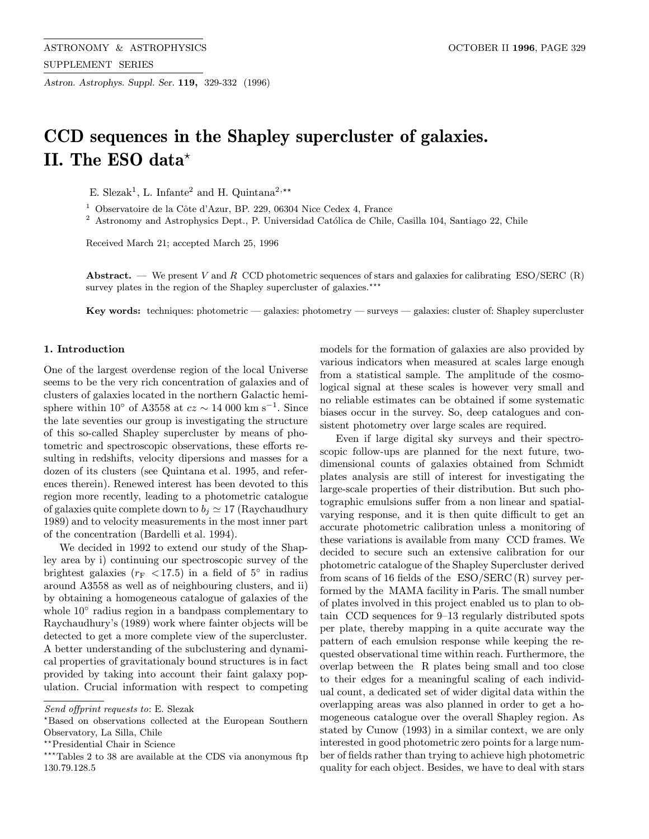Astron. Astrophys. Suppl. Ser. 119, 329-332 (1996)

# CCD sequences in the Shapley supercluster of galaxies. II. The ESO data\*

E. Slezak<sup>1</sup>, L. Infante<sup>2</sup> and H. Quintana<sup>2,\*\*</sup>

<sup>1</sup> Observatoire de la Côte d'Azur, BP. 229, 06304 Nice Cedex 4, France

<sup>2</sup> Astronomy and Astrophysics Dept., P. Universidad Católica de Chile, Casilla 104, Santiago 22, Chile

Received March 21; accepted March 25, 1996

Abstract. — We present V and R CCD photometric sequences of stars and galaxies for calibrating ESO/SERC (R) survey plates in the region of the Shapley supercluster of galaxies.<sup>\*\*\*</sup>

Key words: techniques: photometric — galaxies: photometry — surveys — galaxies: cluster of: Shapley supercluster

# 1. Introduction

One of the largest overdense region of the local Universe seems to be the very rich concentration of galaxies and of clusters of galaxies located in the northern Galactic hemisphere within 10° of A3558 at  $cz \sim 14000 \text{ km s}^{-1}$ . Since the late seventies our group is investigating the structure of this so-called Shapley supercluster by means of photometric and spectroscopic observations, these efforts resulting in redshifts, velocity dipersions and masses for a dozen of its clusters (see Quintana et al. 1995, and references therein). Renewed interest has been devoted to this region more recently, leading to a photometric catalogue of galaxies quite complete down to  $b_i \approx 17$  (Raychaudhury 1989) and to velocity measurements in the most inner part of the concentration (Bardelli et al. 1994).

We decided in 1992 to extend our study of the Shapley area by i) continuing our spectroscopic survey of the brightest galaxies ( $r_F$  < 17.5) in a field of 5° in radius around A3558 as well as of neighbouring clusters, and ii) by obtaining a homogeneous catalogue of galaxies of the whole 10◦ radius region in a bandpass complementary to Raychaudhury's (1989) work where fainter objects will be detected to get a more complete view of the supercluster. A better understanding of the subclustering and dynamical properties of gravitationaly bound structures is in fact provided by taking into account their faint galaxy population. Crucial information with respect to competing models for the formation of galaxies are also provided by various indicators when measured at scales large enough from a statistical sample. The amplitude of the cosmological signal at these scales is however very small and no reliable estimates can be obtained if some systematic biases occur in the survey. So, deep catalogues and consistent photometry over large scales are required.

Even if large digital sky surveys and their spectroscopic follow-ups are planned for the next future, twodimensional counts of galaxies obtained from Schmidt plates analysis are still of interest for investigating the large-scale properties of their distribution. But such photographic emulsions suffer from a non linear and spatialvarying response, and it is then quite difficult to get an accurate photometric calibration unless a monitoring of these variations is available from many CCD frames. We decided to secure such an extensive calibration for our photometric catalogue of the Shapley Supercluster derived from scans of 16 fields of the ESO/SERC (R) survey performed by the MAMA facility in Paris. The small number of plates involved in this project enabled us to plan to obtain CCD sequences for 9–13 regularly distributed spots per plate, thereby mapping in a quite accurate way the pattern of each emulsion response while keeping the requested observational time within reach. Furthermore, the overlap between the R plates being small and too close to their edges for a meaningful scaling of each individual count, a dedicated set of wider digital data within the overlapping areas was also planned in order to get a homogeneous catalogue over the overall Shapley region. As stated by Cunow (1993) in a similar context, we are only interested in good photometric zero points for a large number of fields rather than trying to achieve high photometric quality for each object. Besides, we have to deal with stars

Send offprint requests to: E. Slezak

<sup>?</sup>Based on observations collected at the European Southern Observatory, La Silla, Chile

<sup>\*\*</sup>Presidential Chair in Science

<sup>\*\*\*</sup>Tables 2 to 38 are available at the CDS via anonymous ftp 130.79.128.5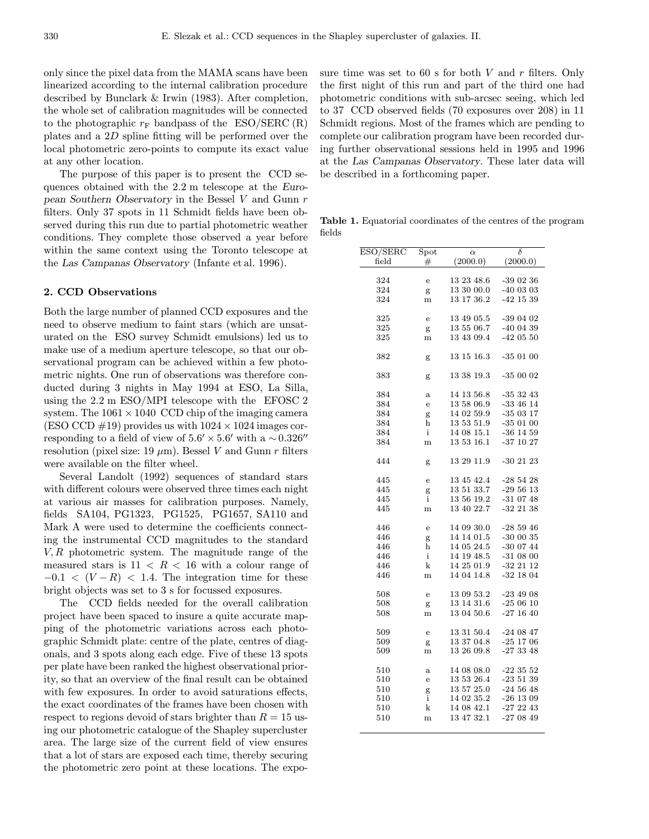only since the pixel data from the MAMA scans have been linearized according to the internal calibration procedure described by Bunclark & Irwin (1983). After completion, the whole set of calibration magnitudes will be connected to the photographic  $r_F$  bandpass of the ESO/SERC (R) plates and a 2D spline fitting will be performed over the local photometric zero-points to compute its exact value at any other location.

The purpose of this paper is to present the CCD sequences obtained with the 2.2 m telescope at the European Southern Observatory in the Bessel V and Gunn r filters. Only 37 spots in 11 Schmidt fields have been observed during this run due to partial photometric weather conditions. They complete those observed a year before within the same context using the Toronto telescope at the Las Campanas Observatory (Infante et al. 1996).

## 2. CCD Observations

Both the large number of planned CCD exposures and the need to observe medium to faint stars (which are unsaturated on the ESO survey Schmidt emulsions) led us to make use of a medium aperture telescope, so that our observational program can be achieved within a few photometric nights. One run of observations was therefore conducted during 3 nights in May 1994 at ESO, La Silla, using the 2.2 m ESO/MPI telescope with the EFOSC 2 system. The  $1061 \times 1040$  CCD chip of the imaging camera (ESO CCD  $\#19$ ) provides us with  $1024 \times 1024$  images corresponding to a field of view of  $5.6' \times 5.6'$  with a ~0.326" resolution (pixel size: 19  $\mu$ m). Bessel V and Gunn r filters were available on the filter wheel.

Several Landolt (1992) sequences of standard stars with different colours were observed three times each night at various air masses for calibration purposes. Namely, fields SA104, PG1323, PG1525, PG1657, SA110 and Mark A were used to determine the coefficients connecting the instrumental CCD magnitudes to the standard  $V, R$  photometric system. The magnitude range of the measured stars is  $11 \leq R \leq 16$  with a colour range of  $-0.1 < (V - R) < 1.4$ . The integration time for these bright objects was set to 3 s for focussed exposures.

The CCD fields needed for the overall calibration project have been spaced to insure a quite accurate mapping of the photometric variations across each photographic Schmidt plate: centre of the plate, centres of diagonals, and 3 spots along each edge. Five of these 13 spots per plate have been ranked the highest observational priority, so that an overview of the final result can be obtained with few exposures. In order to avoid saturations effects, the exact coordinates of the frames have been chosen with respect to regions devoid of stars brighter than  $R = 15$  using our photometric catalogue of the Shapley supercluster area. The large size of the current field of view ensures that a lot of stars are exposed each time, thereby securing the photometric zero point at these locations. The exposure time was set to 60 s for both  $V$  and  $r$  filters. Only the first night of this run and part of the third one had photometric conditions with sub-arcsec seeing, which led to 37 CCD observed fields (70 exposures over 208) in 11 Schmidt regions. Most of the frames which are pending to complete our calibration program have been recorded during further observational sessions held in 1995 and 1996 at the Las Campanas Observatory. These later data will be described in a forthcoming paper.

Table 1. Equatorial coordinates of the centres of the program fields

| ESO/SERC | $\operatorname{Spot}$ | $\alpha$       | δ             |
|----------|-----------------------|----------------|---------------|
| field    | $\#$                  | (2000.0)       | (2000.0)      |
| 324      |                       | 13 23 48.6     | $-390236$     |
|          | $\mathbf e$           |                |               |
| 324      | g                     | 13 30 00.0     | $-400303$     |
| 324      | m                     | 13 17 36.2     | $-42$ 15 39   |
| 325      | $\rm e$               | 13 49 05.5     | -39 04 02     |
| 325      | g                     | 13 55 06.7     | $-400439$     |
| 325      | m                     | 13 43 09.4     | $-420550$     |
|          |                       |                |               |
| 382      | g                     | $13\ 15\ 16.3$ | $-350100$     |
| 383      | g                     | 13 38 19.3     | $-350002$     |
| 384      | $\mathbf{a}$          | 14 13 56.8     | $-353243$     |
| 384      | $\mathbf e$           | 13 58 06.9     | $-33$ 46 14   |
|          |                       |                |               |
| 384      | g                     | 14 02 59.9     | $-350317$     |
| 384      | h                     | 13 53 51.9     | $-350100$     |
| 384      | $\mathbf{i}$          | 14 08 15.1     | $-36$ 14 59   |
| 384      | m                     | 13 53 16.1     | $-37$ 10 $27$ |
| 444      | g                     | 13 29 11.9     | $-30$ 21 23   |
| 445      | $\mathbf e$           | 13 45 42.4     | $-285428$     |
| 445      | g                     | 13 51 33.7     | $-295613$     |
| 445      | $\mathbf{i}$          | 13 56 19.2     | $-310748$     |
| 445      | m                     | 13 40 22.7     | $-32$ 21 38   |
|          |                       |                |               |
| 446      | $\mathbf e$           | 14 09 30.0     | $-285946$     |
| 446      | g                     | 14 14 01.5     | $-300035$     |
| 446      | h                     | 14 05 24.5     | $-300744$     |
| 446      | $\mathbf{i}$          | 14 19 48.5     | $-310800$     |
| 446      | $\mathbf k$           | $14\ 25\ 01.9$ | $-32$ 21 12   |
| 446      | m                     | 14 04 14.8     | $-32$ 18 04   |
|          |                       |                |               |
| 508      | $\mathbf e$           | 13 09 53.2     | $-234908$     |
| 508      | g                     | 13 14 31.6     | $-250610$     |
| 508      | m                     | 13 04 50.6     | $-271640$     |
| 509      | ${\bf e}$             | 13 31 50.4     | $-240847$     |
| 509      | g                     | 13 37 04.8     | $-25$ 17 06   |
| 509      | m                     | 13 26 09.8     | $-273348$     |
|          |                       |                |               |
| 510      | $\rm{a}$              | 14 08 08.0     | $-223552$     |
| 510      | $\mathbf e$           | 13 53 26.4     | $-235139$     |
| 510      | g                     | 13 57 25.0     | $-24\ 56\ 48$ |
| 510      | $\mathbf{i}$          | 14 02 35.2     | $-26$ 13 09   |
| 510      | k                     | 14 08 42.1     | $-272243$     |
| 510      | m                     | 13 47 32.1     | $-270849$     |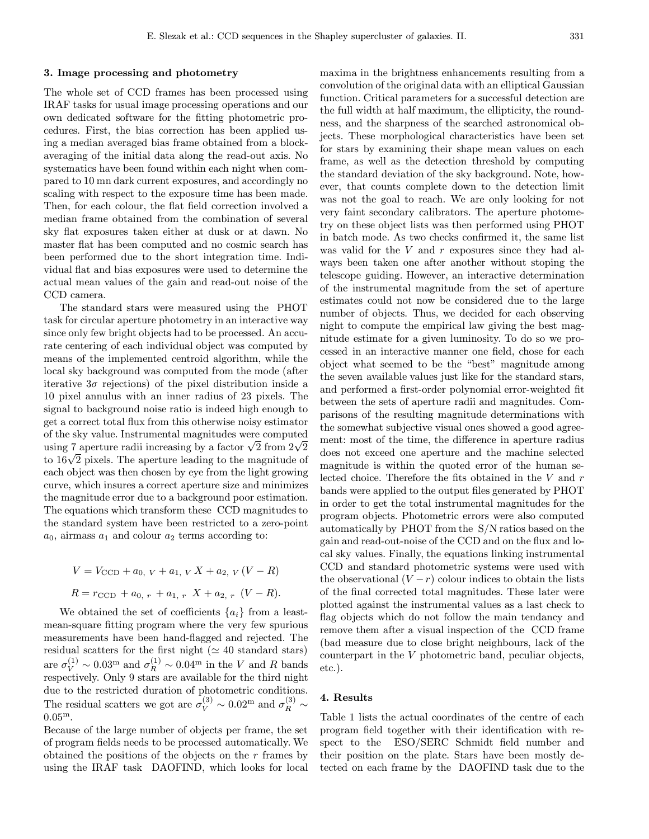#### 3. Image processing and photometry

The whole set of CCD frames has been processed using IRAF tasks for usual image processing operations and our own dedicated software for the fitting photometric procedures. First, the bias correction has been applied using a median averaged bias frame obtained from a blockaveraging of the initial data along the read-out axis. No systematics have been found within each night when compared to 10 mn dark current exposures, and accordingly no scaling with respect to the exposure time has been made. Then, for each colour, the flat field correction involved a median frame obtained from the combination of several sky flat exposures taken either at dusk or at dawn. No master flat has been computed and no cosmic search has been performed due to the short integration time. Individual flat and bias exposures were used to determine the actual mean values of the gain and read-out noise of the CCD camera.

The standard stars were measured using the PHOT task for circular aperture photometry in an interactive way since only few bright objects had to be processed. An accurate centering of each individual object was computed by means of the implemented centroid algorithm, while the local sky background was computed from the mode (after iterative  $3\sigma$  rejections) of the pixel distribution inside a 10 pixel annulus with an inner radius of 23 pixels. The signal to background noise ratio is indeed high enough to get a correct total flux from this otherwise noisy estimator of the sky value. Instrumental magnitudes were computed using 7 aperture radii increasing by a factor  $\sqrt{2}$  from  $2\sqrt{2}$ to  $16\sqrt{2}$  pixels. The aperture leading to the magnitude of each object was then chosen by eye from the light growing curve, which insures a correct aperture size and minimizes the magnitude error due to a background poor estimation. The equations which transform these CCD magnitudes to the standard system have been restricted to a zero-point  $a_0$ , airmass  $a_1$  and colour  $a_2$  terms according to:

$$
V = V_{\text{CCD}} + a_{0, V} + a_{1, V} X + a_{2, V} (V - R)
$$
  

$$
R = r_{\text{CCD}} + a_{0, r} + a_{1, r} X + a_{2, r} (V - R).
$$

We obtained the set of coefficients  $\{a_i\}$  from a leastmean-square fitting program where the very few spurious measurements have been hand-flagged and rejected. The residual scatters for the first night ( $\simeq$  40 standard stars) are  $\sigma_V^{(1)} \sim 0.03^{\text{m}}$  and  $\sigma_R^{(1)} \sim 0.04^{\text{m}}$  in the V and R bands respectively. Only 9 stars are available for the third night due to the restricted duration of photometric conditions. The residual scatters we got are  $\sigma_V^{(3)} \sim 0.02^{\text{m}}$  and  $\sigma_R^{(3)} \sim$  $0.05^{\rm m}$ .

Because of the large number of objects per frame, the set of program fields needs to be processed automatically. We obtained the positions of the objects on the  $r$  frames by using the IRAF task DAOFIND, which looks for local maxima in the brightness enhancements resulting from a convolution of the original data with an elliptical Gaussian function. Critical parameters for a successful detection are the full width at half maximum, the ellipticity, the roundness, and the sharpness of the searched astronomical objects. These morphological characteristics have been set for stars by examining their shape mean values on each frame, as well as the detection threshold by computing the standard deviation of the sky background. Note, however, that counts complete down to the detection limit was not the goal to reach. We are only looking for not very faint secondary calibrators. The aperture photometry on these object lists was then performed using PHOT in batch mode. As two checks confirmed it, the same list was valid for the  $V$  and  $r$  exposures since they had always been taken one after another without stoping the telescope guiding. However, an interactive determination of the instrumental magnitude from the set of aperture estimates could not now be considered due to the large number of objects. Thus, we decided for each observing night to compute the empirical law giving the best magnitude estimate for a given luminosity. To do so we processed in an interactive manner one field, chose for each object what seemed to be the "best" magnitude among the seven available values just like for the standard stars, and performed a first-order polynomial error-weighted fit between the sets of aperture radii and magnitudes. Comparisons of the resulting magnitude determinations with the somewhat subjective visual ones showed a good agreement: most of the time, the difference in aperture radius does not exceed one aperture and the machine selected magnitude is within the quoted error of the human selected choice. Therefore the fits obtained in the V and r bands were applied to the output files generated by PHOT in order to get the total instrumental magnitudes for the program objects. Photometric errors were also computed automatically by PHOT from the S/N ratios based on the gain and read-out-noise of the CCD and on the flux and local sky values. Finally, the equations linking instrumental CCD and standard photometric systems were used with the observational  $(V - r)$  colour indices to obtain the lists of the final corrected total magnitudes. These later were plotted against the instrumental values as a last check to flag objects which do not follow the main tendancy and remove them after a visual inspection of the CCD frame (bad measure due to close bright neighbours, lack of the counterpart in the V photometric band, peculiar objects, etc.).

## 4. Results

Table 1 lists the actual coordinates of the centre of each program field together with their identification with respect to the ESO/SERC Schmidt field number and their position on the plate. Stars have been mostly detected on each frame by the DAOFIND task due to the